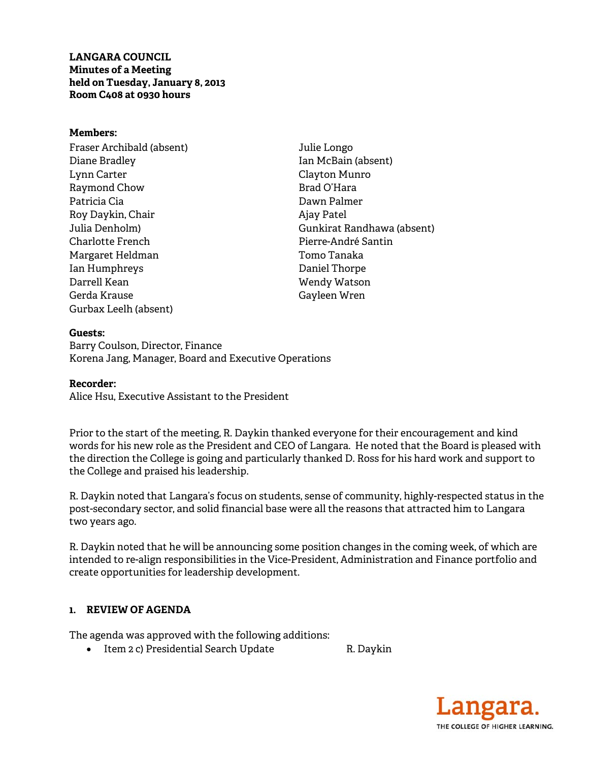**LANGARA COUNCIL Minutes of a Meeting held on Tuesday, January 8, 2013 Room C408 at 0930 hours** 

#### **Members:**

Fraser Archibald (absent) Diane Bradley Lynn Carter Raymond Chow Patricia Cia Roy Daykin, Chair Julia Denholm) Charlotte French Margaret Heldman Ian Humphreys Darrell Kean Gerda Krause Gurbax Leelh (absent)

Julie Longo Ian McBain (absent) Clayton Munro Brad O'Hara Dawn Palmer Ajay Patel Gunkirat Randhawa (absent) Pierre-André Santin Tomo Tanaka Daniel Thorpe Wendy Watson Gayleen Wren

**Guests:**  Barry Coulson, Director, Finance Korena Jang, Manager, Board and Executive Operations

#### **Recorder:**

Alice Hsu, Executive Assistant to the President

Prior to the start of the meeting, R. Daykin thanked everyone for their encouragement and kind words for his new role as the President and CEO of Langara. He noted that the Board is pleased with the direction the College is going and particularly thanked D. Ross for his hard work and support to the College and praised his leadership.

R. Daykin noted that Langara's focus on students, sense of community, highly-respected status in the post-secondary sector, and solid financial base were all the reasons that attracted him to Langara two years ago.

R. Daykin noted that he will be announcing some position changes in the coming week, of which are intended to re-align responsibilities in the Vice-President, Administration and Finance portfolio and create opportunities for leadership development.

## **1. REVIEW OF AGENDA**

The agenda was approved with the following additions:

• Item 2 c) Presidential Search Update R. Daykin

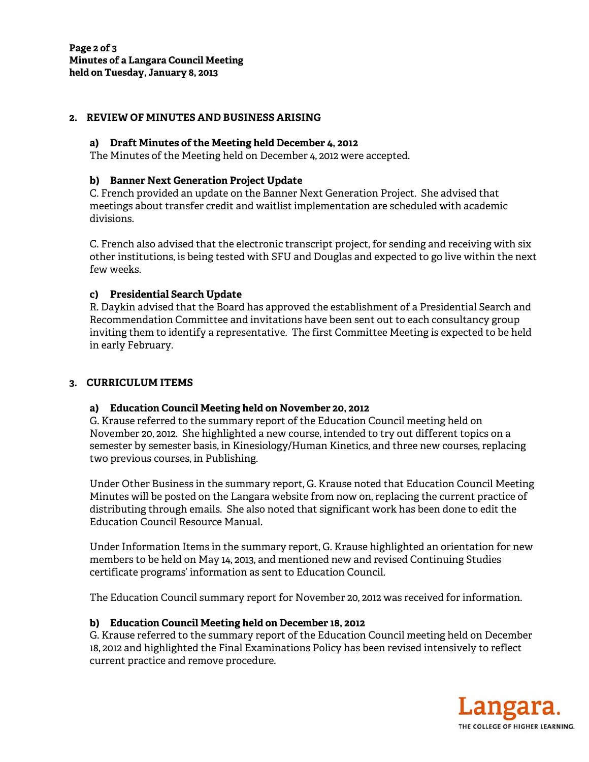## **2. REVIEW OF MINUTES AND BUSINESS ARISING**

### **a) Draft Minutes of the Meeting held December 4, 2012**

The Minutes of the Meeting held on December 4, 2012 were accepted.

### **b) Banner Next Generation Project Update**

C. French provided an update on the Banner Next Generation Project. She advised that meetings about transfer credit and waitlist implementation are scheduled with academic divisions.

C. French also advised that the electronic transcript project, for sending and receiving with six other institutions, is being tested with SFU and Douglas and expected to go live within the next few weeks.

## **c) Presidential Search Update**

R. Daykin advised that the Board has approved the establishment of a Presidential Search and Recommendation Committee and invitations have been sent out to each consultancy group inviting them to identify a representative. The first Committee Meeting is expected to be held in early February.

## **3. CURRICULUM ITEMS**

### **a) Education Council Meeting held on November 20, 2012**

G. Krause referred to the summary report of the Education Council meeting held on November 20, 2012. She highlighted a new course, intended to try out different topics on a semester by semester basis, in Kinesiology/Human Kinetics, and three new courses, replacing two previous courses, in Publishing.

Under Other Business in the summary report, G. Krause noted that Education Council Meeting Minutes will be posted on the Langara website from now on, replacing the current practice of distributing through emails. She also noted that significant work has been done to edit the Education Council Resource Manual.

Under Information Items in the summary report, G. Krause highlighted an orientation for new members to be held on May 14, 2013, and mentioned new and revised Continuing Studies certificate programs' information as sent to Education Council.

The Education Council summary report for November 20, 2012 was received for information.

## **b) Education Council Meeting held on December 18, 2012**

G. Krause referred to the summary report of the Education Council meeting held on December 18, 2012 and highlighted the Final Examinations Policy has been revised intensively to reflect current practice and remove procedure.